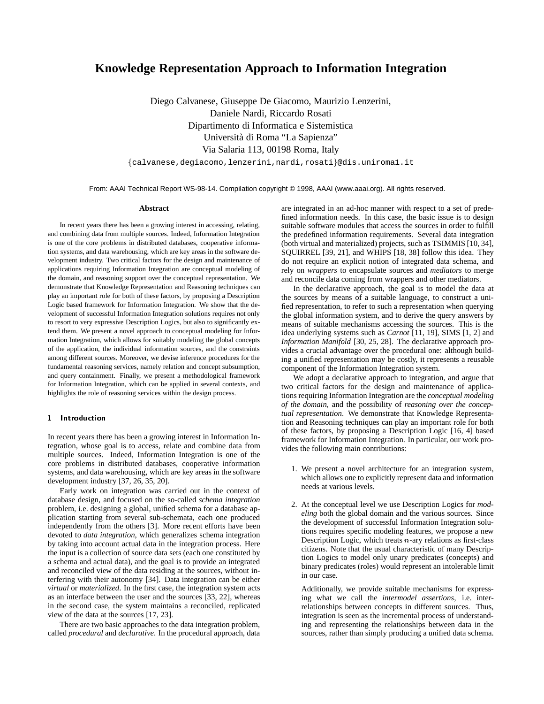# **Knowledge Representation Approach to Information Integration**

Diego Calvanese, Giuseppe De Giacomo, Maurizio Lenzerini, Daniele Nardi, Riccardo Rosati Dipartimento di Informatica e Sistemistica Università di Roma "La Sapienza" Via Salaria 113, 00198 Roma, Italy

fcalvanese,degiacomo,lenzerini,nardi,rosatig@dis.uniroma1.it

From: AAAI Technical Report WS-98-14. Compilation copyright © 1998, AAAI (www.aaai.org). All rights reserved.

#### **Abstract**

In recent years there has been a growing interest in accessing, relating, and combining data from multiple sources. Indeed, Information Integration is one of the core problems in distributed databases, cooperative information systems, and data warehousing, which are key areas in the software development industry. Two critical factors for the design and maintenance of applications requiring Information Integration are conceptual modeling of the domain, and reasoning support over the conceptual representation. We demonstrate that Knowledge Representation and Reasoning techniques can play an important role for both of these factors, by proposing a Description Logic based framework for Information Integration. We show that the development of successful Information Integration solutions requires not only to resort to very expressive Description Logics, but also to significantly extend them. We present a novel approach to conceptual modeling for Information Integration, which allows for suitably modeling the global concepts of the application, the individual information sources, and the constraints among different sources. Moreover, we devise inference procedures for the fundamental reasoning services, namely relation and concept subsumption, and query containment. Finally, we present a methodological framework for Information Integration, which can be applied in several contexts, and highlights the role of reasoning services within the design process.

## 1 Introduction

In recent years there has been a growing interest in Information Integration, whose goal is to access, relate and combine data from multiple sources. Indeed, Information Integration is one of the core problems in distributed databases, cooperative information systems, and data warehousing, which are key areas in the software development industry [37, 26, 35, 20].

Early work on integration was carried out in the context of database design, and focused on the so-called *schema integration* problem, i.e. designing a global, unified schema for a database application starting from several sub-schemata, each one produced independently from the others [3]. More recent efforts have been devoted to *data integration*, which generalizes schema integration by taking into account actual data in the integration process. Here the input is a collection of source data sets (each one constituted by a schema and actual data), and the goal is to provide an integrated and reconciled view of the data residing at the sources, without interfering with their autonomy [34]. Data integration can be either *virtual* or *materialized*. In the first case, the integration system acts as an interface between the user and the sources [33, 22], whereas in the second case, the system maintains a reconciled, replicated view of the data at the sources [17, 23].

There are two basic approaches to the data integration problem, called *procedural* and *declarative*. In the procedural approach, data are integrated in an ad-hoc manner with respect to a set of predefined information needs. In this case, the basic issue is to design suitable software modules that access the sources in order to fulfill the predefined information requirements. Several data integration (both virtual and materialized) projects, such as TSIMMIS [10, 34], SQUIRREL [39, 21], and WHIPS [18, 38] follow this idea. They do not require an explicit notion of integrated data schema, and rely on *wrappers* to encapsulate sources and *mediators* to merge and reconcile data coming from wrappers and other mediators.

In the declarative approach, the goal is to model the data at the sources by means of a suitable language, to construct a unified representation, to refer to such a representation when querying the global information system, and to derive the query answers by means of suitable mechanisms accessing the sources. This is the idea underlying systems such as *Carnot* [11, 19], SIMS [1, 2] and *Information Manifold* [30, 25, 28]. The declarative approach provides a crucial advantage over the procedural one: although building a unified representation may be costly, it represents a reusable component of the Information Integration system.

We adopt a declarative approach to integration, and argue that two critical factors for the design and maintenance of applications requiring Information Integration are the *conceptual modeling of the domain*, and the possibility of *reasoning over the conceptual representation*. We demonstrate that Knowledge Representation and Reasoning techniques can play an important role for both of these factors, by proposing a Description Logic [16, 4] based framework for Information Integration. In particular, our work provides the following main contributions:

- 1. We present a novel architecture for an integration system, which allows one to explicitly represent data and information needs at various levels.
- 2. At the conceptual level we use Description Logics for *modeling* both the global domain and the various sources. Since the development of successful Information Integration solutions requires specific modeling features, we propose a new Description Logic, which treats  $n$ -ary relations as first-class citizens. Note that the usual characteristic of many Description Logics to model only unary predicates (concepts) and binary predicates (roles) would represent an intolerable limit in our case.

Additionally, we provide suitable mechanisms for expressing what we call the *intermodel assertions*, i.e. interrelationships between concepts in different sources. Thus, integration is seen as the incremental process of understanding and representing the relationships between data in the sources, rather than simply producing a unified data schema.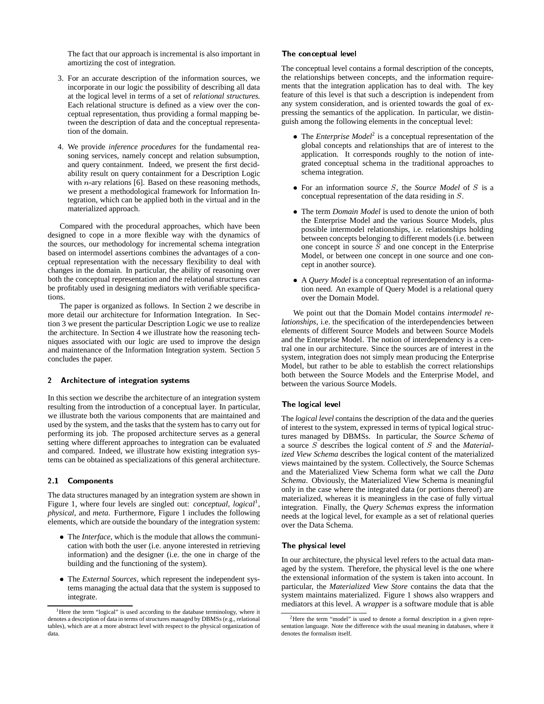The fact that our approach is incremental is also important in amortizing the cost of integration.

- 3. For an accurate description of the information sources, we incorporate in our logic the possibility of describing all data at the logical level in terms of a set of *relational structures*. Each relational structure is defined as a view over the conceptual representation, thus providing a formal mapping between the description of data and the conceptual representation of the domain.
- 4. We provide *inference procedures* for the fundamental reasoning services, namely concept and relation subsumption, and query containment. Indeed, we present the first decidability result on query containment for a Description Logic with *n*-ary relations [6]. Based on these reasoning methods, we present a methodological framework for Information Integration, which can be applied both in the virtual and in the materialized approach.

Compared with the procedural approaches, which have been designed to cope in a more flexible way with the dynamics of the sources, our methodology for incremental schema integration based on intermodel assertions combines the advantages of a conceptual representation with the necessary flexibility to deal with changes in the domain. In particular, the ability of reasoning over both the conceptual representation and the relational structures can be profitably used in designing mediators with verifiable specifications.

The paper is organized as follows. In Section 2 we describe in more detail our architecture for Information Integration. In Section 3 we present the particular Description Logic we use to realize the architecture. In Section 4 we illustrate how the reasoning techniques associated with our logic are used to improve the design and maintenance of the Information Integration system. Section 5 concludes the paper.

# 2 Architecture of integration systems

In this section we describe the architecture of an integration system resulting from the introduction of a conceptual layer. In particular, we illustrate both the various components that are maintained and used by the system, and the tasks that the system has to carry out for performing its job. The proposed architecture serves as a general setting where different approaches to integration can be evaluated and compared. Indeed, we illustrate how existing integration systems can be obtained as specializations of this general architecture.

# 2.1 Components

The data structures managed by an integration system are shown in Figure 1, where four levels are singled out: *conceptual*, *logical*<sup>1</sup>, *physical*, and *meta*. Furthermore, Figure 1 includes the following elements, which are outside the boundary of the integration system:

- The *Interface*, which is the module that allows the communication with both the user (i.e. anyone interested in retrieving information) and the designer (i.e. the one in charge of the building and the functioning of the system).
- The *External Sources*, which represent the independent systems managing the actual data that the system is supposed to integrate.

# The conceptual level

The conceptual level contains a formal description of the concepts, the relationships between concepts, and the information requirements that the integration application has to deal with. The key feature of this level is that such a description is independent from any system consideration, and is oriented towards the goal of expressing the semantics of the application. In particular, we distinguish among the following elements in the conceptual level:

- The *Enterprise Model*<sup>2</sup> is a conceptual representation of the global concepts and relationships that are of interest to the application. It corresponds roughly to the notion of integrated conceptual schema in the traditional approaches to schema integration.
- For an information source S, the *Source Model* of S is a conceptual representation of the data residing in S.
- The term *Domain Model* is used to denote the union of both the Enterprise Model and the various Source Models, plus possible intermodel relationships, i.e. relationships holding between concepts belonging to different models (i.e. between one concept in source  $S$  and one concept in the Enterprise Model, or between one concept in one source and one concept in another source).
- A *Query Model* is a conceptual representation of an information need. An example of Query Model is a relational query over the Domain Model.

We point out that the Domain Model contains *intermodel relationships*, i.e. the specification of the interdependencies between elements of different Source Models and between Source Models and the Enterprise Model. The notion of interdependency is a central one in our architecture. Since the sources are of interest in the system, integration does not simply mean producing the Enterprise Model, but rather to be able to establish the correct relationships both between the Source Models and the Enterprise Model, and between the various Source Models.

### The logical level

The *logical level* contains the description of the data and the queries of interest to the system, expressed in terms of typical logical structures managed by DBMSs. In particular, the *Source Schema* of a source S describes the logical content of S and the *Materialized View Schema* describes the logical content of the materialized views maintained by the system. Collectively, the Source Schemas and the Materialized View Schema form what we call the *Data Schema*. Obviously, the Materialized View Schema is meaningful only in the case where the integrated data (or portions thereof) are materialized, whereas it is meaningless in the case of fully virtual integration. Finally, the *Query Schemas* express the information needs at the logical level, for example as a set of relational queries over the Data Schema.

#### The physical level

In our architecture, the physical level refers to the actual data managed by the system. Therefore, the physical level is the one where the extensional information of the system is taken into account. In particular, the *Materialized View Store* contains the data that the system maintains materialized. Figure 1 shows also wrappers and mediators at this level. A *wrapper* is a software module that is able

<sup>&</sup>lt;sup>1</sup>Here the term "logical" is used according to the database terminology, where it denotes a description of data in terms of structures managed by DBMSs (e.g., relational tables), which are at a more abstract level with respect to the physical organization of data.

<sup>&</sup>lt;sup>2</sup>Here the term "model" is used to denote a formal description in a given representation language. Note the difference with the usual meaning in databases, where it denotes the formalism itself.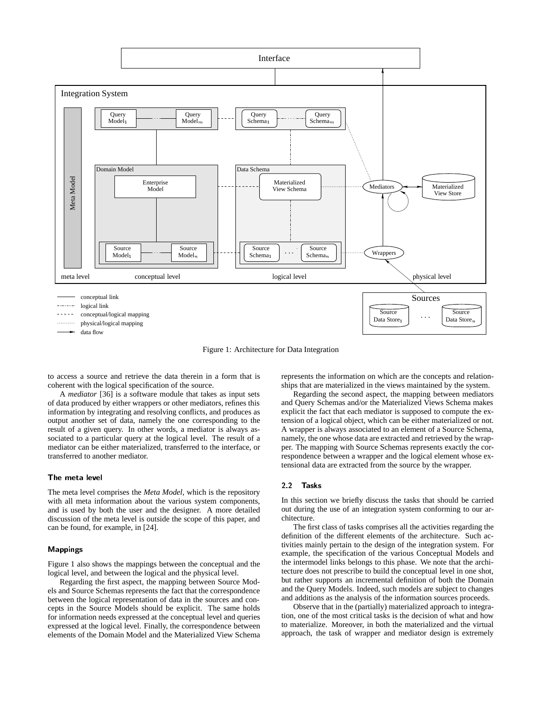

Figure 1: Architecture for Data Integration

to access a source and retrieve the data therein in a form that is coherent with the logical specification of the source.

A *mediator* [36] is a software module that takes as input sets of data produced by either wrappers or other mediators, refines this information by integrating and resolving conflicts, and produces as output another set of data, namely the one corresponding to the result of a given query. In other words, a mediator is always associated to a particular query at the logical level. The result of a mediator can be either materialized, transferred to the interface, or transferred to another mediator.

# The meta level

The meta level comprises the *Meta Model*, which is the repository with all meta information about the various system components, and is used by both the user and the designer. A more detailed discussion of the meta level is outside the scope of this paper, and can be found, for example, in [24].

### Mappings

Figure 1 also shows the mappings between the conceptual and the logical level, and between the logical and the physical level.

Regarding the first aspect, the mapping between Source Models and Source Schemas represents the fact that the correspondence between the logical representation of data in the sources and concepts in the Source Models should be explicit. The same holds for information needs expressed at the conceptual level and queries expressed at the logical level. Finally, the correspondence between elements of the Domain Model and the Materialized View Schema

represents the information on which are the concepts and relationships that are materialized in the views maintained by the system.

Regarding the second aspect, the mapping between mediators and Query Schemas and/or the Materialized Views Schema makes explicit the fact that each mediator is supposed to compute the extension of a logical object, which can be either materialized or not. A wrapper is always associated to an element of a Source Schema, namely, the one whose data are extracted and retrieved by the wrapper. The mapping with Source Schemas represents exactly the correspondence between a wrapper and the logical element whose extensional data are extracted from the source by the wrapper.

# 2.2 Tasks

In this section we briefly discuss the tasks that should be carried out during the use of an integration system conforming to our architecture.

The first class of tasks comprises all the activities regarding the definition of the different elements of the architecture. Such activities mainly pertain to the design of the integration system. For example, the specification of the various Conceptual Models and the intermodel links belongs to this phase. We note that the architecture does not prescribe to build the conceptual level in one shot, but rather supports an incremental definition of both the Domain and the Query Models. Indeed, such models are subject to changes and additions as the analysis of the information sources proceeds.

Observe that in the (partially) materialized approach to integration, one of the most critical tasks is the decision of what and how to materialize. Moreover, in both the materialized and the virtual approach, the task of wrapper and mediator design is extremely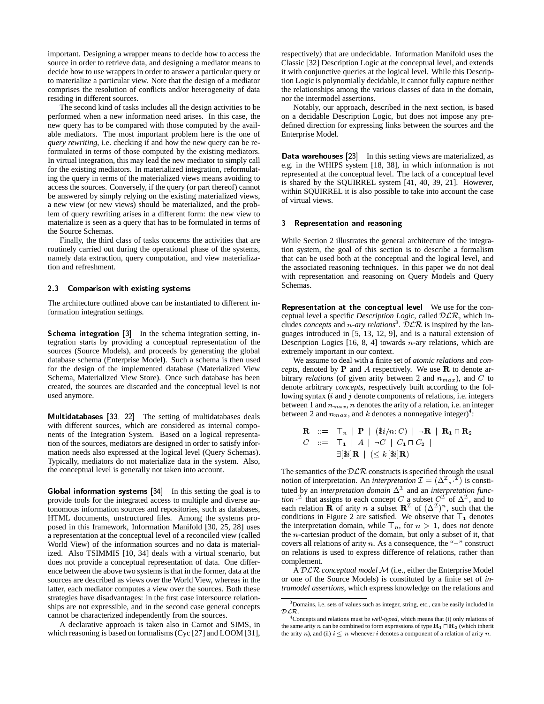important. Designing a wrapper means to decide how to access the source in order to retrieve data, and designing a mediator means to decide how to use wrappers in order to answer a particular query or to materialize a particular view. Note that the design of a mediator comprises the resolution of conflicts and/or heterogeneity of data residing in different sources.

The second kind of tasks includes all the design activities to be performed when a new information need arises. In this case, the new query has to be compared with those computed by the available mediators. The most important problem here is the one of *query rewriting*, i.e. checking if and how the new query can be reformulated in terms of those computed by the existing mediators. In virtual integration, this may lead the new mediator to simply call for the existing mediators. In materialized integration, reformulating the query in terms of the materialized views means avoiding to access the sources. Conversely, if the query (or part thereof) cannot be answered by simply relying on the existing materialized views, a new view (or new views) should be materialized, and the problem of query rewriting arises in a different form: the new view to materialize is seen as a query that has to be formulated in terms of the Source Schemas.

Finally, the third class of tasks concerns the activities that are routinely carried out during the operational phase of the systems, namely data extraction, query computation, and view materialization and refreshment.

# 2.3 Comparison with existing systems

The architecture outlined above can be instantiated to different information integration settings.

Schema integration [3] In the schema integration setting, integration starts by providing a conceptual representation of the sources (Source Models), and proceeds by generating the global database schema (Enterprise Model). Such a schema is then used for the design of the implemented database (Materialized View Schema, Materialized View Store). Once such database has been created, the sources are discarded and the conceptual level is not used anymore.

Multidatabases [33, 22] The setting of multidatabases deals with different sources, which are considered as internal components of the Integration System. Based on a logical representation of the sources, mediators are designed in order to satisfy information needs also expressed at the logical level (Query Schemas). Typically, mediators do not materialize data in the system. Also, the conceptual level is generally not taken into account.

Global information systems [34] In this setting the goal is to provide tools for the integrated access to multiple and diverse autonomous information sources and repositories, such as databases, HTML documents, unstructured files. Among the systems proposed in this framework, Information Manifold [30, 25, 28] uses a representation at the conceptual level of a reconciled view (called World View) of the information sources and no data is materialized. Also TSIMMIS [10, 34] deals with a virtual scenario, but does not provide a conceptual representation of data. One difference between the above two systems is that in the former, data at the sources are described as views over the World View, whereas in the latter, each mediator computes a view over the sources. Both these strategies have disadvantages: in the first case intersource relationships are not expressible, and in the second case general concepts cannot be characterized independently from the sources.

A declarative approach is taken also in Carnot and SIMS, in which reasoning is based on formalisms (Cyc [27] and LOOM [31],

respectively) that are undecidable. Information Manifold uses the Classic [32] Description Logic at the conceptual level, and extends it with conjunctive queries at the logical level. While this Description Logic is polynomially decidable, it cannot fully capture neither the relationships among the various classes of data in the domain, nor the intermodel assertions.

Notably, our approach, described in the next section, is based on a decidable Description Logic, but does not impose any predefined direction for expressing links between the sources and the Enterprise Model.

Data warehouses [23] In this setting views are materialized, as e.g. in the WHIPS system [18, 38], in which information is not represented at the conceptual level. The lack of a conceptual level is shared by the SQUIRREL system [41, 40, 39, 21]. However, within SQUIRREL it is also possible to take into account the case of virtual views.

# 3 Representation and reasoning

While Section 2 illustrates the general architecture of the integration system, the goal of this section is to describe a formalism that can be used both at the conceptual and the logical level, and the associated reasoning techniques. In this paper we do not deal with representation and reasoning on Query Models and Query Schemas.

Representation at the conceptual level We use for the conceptual level a specific *Description Logic*, called DLR, which includes *concepts* and *n-ary relations*<sup>3</sup>.  $\mathcal{DLR}$  is inspired by the languages introduced in [5, 13, 12, 9], and is a natural extension of Description Logics  $[16, 8, 4]$  towards *n*-ary relations, which are extremely important in our context.

We assume to deal with a finite set of *atomic relations* and *concepts*, denoted by <sup>P</sup> and A respectively. We use <sup>R</sup> to denote arbitrary *relations* (of given arity between 2 and  $n_{max}$ ), and C to denote arbitrary *concepts*, respectively built according to the following syntax  $(i$  and  $j$  denote components of relations, i.e. integers between 1 and  $n_{max}$ , *n* denotes the arity of a relation, i.e. an integer between 2 and  $n_{max}$ , and k denotes a nonnegative integer)<sup>4</sup>:

$$
\begin{array}{ll}\n\mathbf{R} &::= \top_n \mid \mathbf{P} \mid (\$i/n: C) \mid \neg \mathbf{R} \mid \mathbf{R}_1 \sqcap \mathbf{R}_2 \\
C &::= \top_1 \mid A \mid \neg C \mid C_1 \sqcap C_2 \mid \\
& \exists [\$i] \mathbf{R} \mid (\leq k [\$i] \mathbf{R})\n\end{array}
$$

The semantics of the  $DLR$  constructs is specified through the usual notion of interpretation. An *interpretation*  $\mathcal{I} = (\Delta^{\mathcal{I}}, \mathcal{I})$  is constituted by an *interpretation domain*  $\Delta^2$  and an *interpretation function* <sup>1</sup> that assigns to each concept C a subset  $C<sup>T</sup>$  of  $\Delta<sup>T</sup>$ , and to each relation **R** of arity *n* a subset  $\mathbb{R}^{\mathcal{I}}$  of  $(\Delta^{\mathcal{I}})^n$ , such that the conditions in Figure 2 are satisfied. We observe that  $\top_1$  denotes the interpretation domain, while  $\top_n$ , for  $n > 1$ , does *not* denote the n-cartesian product of the domain, but only a subset of it, that covers all relations of arity n. As a consequence, the " $\neg$ " construct on relations is used to express difference of relations, rather than complement.

A DLR *conceptual model* M (i.e., either the Enterprise Model or one of the Source Models) is constituted by a finite set of *intramodel assertions*, which express knowledge on the relations and

<sup>3</sup>Domains, i.e. sets of values such as integer, string, etc., can be easily included in  $DLR$ .

<sup>4</sup>Concepts and relations must be *well-typed*, which means that (i) only relations of the same arity n can be combined to form expressions of type  $\mathbf{R}_1 \cap \mathbf{R}_2$  (which inherit the arity n), and (ii)  $i \leq n$  whenever i denotes a component of a relation of arity n.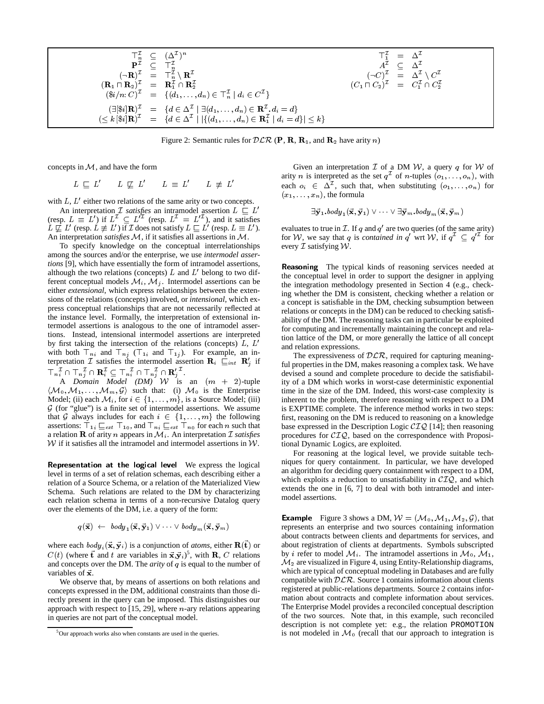|                                                                                                               | $\begin{array}{ccc} \top^{\mathcal{I}}_{n} & \subseteq & (\Delta^{\mathcal{I}})^{n} \\ \mathbf{P}^{\mathcal{I}} & \subset & \top^{\mathcal{I}}_{n} \end{array}$                                                                                                                         | $T_1^L = \Delta^L$<br>$A^{\bar{\mathcal{I}}}$ $\subset \Delta^{\mathcal{I}}$                                                                           |  |
|---------------------------------------------------------------------------------------------------------------|-----------------------------------------------------------------------------------------------------------------------------------------------------------------------------------------------------------------------------------------------------------------------------------------|--------------------------------------------------------------------------------------------------------------------------------------------------------|--|
| $(\mathbf{R}_1 \cap \mathbf{R}_2)^{\mathcal{I}} = \mathbf{R}_1^{\mathcal{I}} \cap \mathbf{R}_2^{\mathcal{I}}$ | $(\neg \mathbf{R})^{\mathcal{I}} = \top_n^{\mathcal{I}} \setminus \mathbf{R}^{\mathcal{I}}$                                                                                                                                                                                             | $(\neg C)^{\mathcal{I}} = \Delta^{\mathcal{I}} \setminus C^{\mathcal{I}}$<br>$(C_1 \cap C_2)^{\mathcal{I}} = C_1^{\mathcal{I}} \cap C_2^{\mathcal{I}}$ |  |
|                                                                                                               | $(\$i/n: C)^{\mathcal{I}} = \{(\mathbf{d}_1, \ldots, \mathbf{d}_n) \in \top_n^{\mathcal{I}} \mid d_i \in C^{\mathcal{I}}\}\$<br>$(\exists [\$i] \mathbf{R})^{\mathcal{I}} = \{d \in \Delta^{\mathcal{I}} \mid \exists (d_1, \ldots, d_n) \in \mathbf{R}^{\mathcal{I}} \ldotp d_i = d\}$ |                                                                                                                                                        |  |
|                                                                                                               | $(\leq k [\$\mathbf{i}]\mathbf{R}]^{\mathcal{I}} = \{d \in \Delta^{\mathcal{I}} \mid  \{(d_1, \ldots, d_n) \in \mathbf{R}_1^{\mathcal{I}} \mid d_i = d\}  \leq k\}$                                                                                                                     |                                                                                                                                                        |  |

Figure 2: Semantic rules for  $DLR$  (P, R, R<sub>1</sub>, and R<sub>2</sub> have arity *n*)

concepts in  $M$ , and have the form

 $L \subseteq L' \qquad L \not\subseteq L' \qquad L \equiv L' \qquad L \not\equiv L'$ 

with  $L, L'$  either two relations of the same arity or two concepts.

An interpretation *I satisfies* an intramodel assertion  $L \subseteq L'$ (resp.  $L \equiv L'$ ) if  $L^2 \subseteq L'^2$  (resp.  $L^2 = L'^2$ ), and it satisfies  $L \not\sqsubseteq L'$  (resp.  $L \not\equiv L'$ ) if  $\mathcal I$  does not satisfy  $L \sqsubseteq L'$  (resp.  $L \equiv L'$ ). eval An interpretation *satisfies* M, if it satisfies all assertions in M.

To specify knowledge on the conceptual interrelationships among the sources and/or the enterprise, we use *intermodel assertions* [9], which have essentially the form of intramodel assertions, although the two relations (concepts)  $L$  and  $L'$  belong to two different conceptual models  $\mathcal{M}_i$ ,  $\mathcal{M}_j$ . Intermodel assertions can be either *extensional*, which express relationships between the extensions of the relations (concepts) involved, or *intensional*, which express conceptual relationships that are not necessarily reflected at the instance level. Formally, the interpretation of extensional intermodel assertions is analogous to the one of intramodel assertions. Instead, intensional intermodel assertions are interpreted by first taking the intersection of the relations (concepts)  $L, L'$ with both  $\top_{ni}$  and  $\top_{nj}$  ( $\top_{1i}$  and  $\top_{1j}$ ). For example, an interpretation  $\mathcal I$  satisfies the intermodel assertion  $\mathbf R_i \subseteq_{int} \mathbf R'_j$  if  $\mathsf{T}_{n_i^1} \cap \mathsf{T}_{n_j^2} \cap \mathbf{R}_i^1 \subseteq \mathsf{T}_{n_i^1} \cap \mathsf{T}_{n_j^2} \cap \mathbf{R}_i^{\prime\,1}.$ 

A *Domain Model (DM)* W is an  $(m + 2)$ -tuple  $\langle \mathcal{M}_0, \mathcal{M}_1, \ldots, \mathcal{M}_m, \mathcal{G} \rangle$  such that: (i)  $\mathcal{M}_0$  is the Enterprise Model; (ii) each  $\mathcal{M}_i$ , for  $i \in \{1,\ldots,m\}$ , is a Source Model; (iii)  $G$  (for "glue") is a finite set of intermodel assertions. We assume that G always includes for each  $i \in \{1,...,m\}$  the following assertions:  $\top_{1i} \sqsubseteq_{ext} \top_{10}$ , and  $\top_{ni} \sqsubseteq_{ext} \top_{n0}$  for each n such that a relation  **of arity**  $n$  **appears in**  $M_i$ **. An interpretation**  $\mathcal I$ *satisfies*  $W$  if it satisfies all the intramodel and intermodel assertions in  $W$ .

Representation at the logical level We express the logical level in terms of a set of relation schemas, each describing either a relation of a Source Schema, or a relation of the Materialized View Schema. Such relations are related to the DM by characterizing each relation schema in terms of a non-recursive Datalog query over the elements of the DM, i.e. a query of the form:

$$
q(\vec{\mathbf{x}}) \ \leftarrow \ \mathit{body}_1(\vec{\mathbf{x}}, \vec{\mathbf{y}}_1) \vee \cdots \vee \mathit{body}_m(\vec{\mathbf{x}}, \vec{\mathbf{y}}_m)
$$

where each  $body_i({\bf \vec{x},\vec{y}}_i)$  is a conjunction of *atoms*, either  ${\bf R(t)}$  or  $C(t)$  (where  $\vec{t}$  and t are variables in  $\vec{x}, \vec{y}_i$ )<sup>5</sup>, with **R**, C relations and concepts over the DM. The *arity* of q is equal to the number of variables of  $\vec{x}$ .

We observe that, by means of assertions on both relations and concepts expressed in the DM, additional constraints than those directly present in the query can be imposed. This distinguishes our approach with respect to  $[15, 29]$ , where *n*-ary relations appearing in queries are not part of the conceptual model.

Given an interpretation  $\mathcal I$  of a DM  $\mathcal W$ , a query q for  $\mathcal W$  of arity *n* is interpreted as the set  $q^2$  of *n*-tuples  $(o_1, \ldots, o_n)$ , with each  $o_i \in \Delta^{\mathcal{I}}$ , such that, when substituting  $(o_1,\ldots,o_n)$  for  $(x_1,\ldots,x_n)$ , the formula

$$
\exists \vec{\mathbf{y}}_1.\textit{body}_1(\vec{\mathbf{x}},\vec{\mathbf{y}}_1) \vee \dots \vee \exists \vec{\mathbf{y}}_m.\textit{body}_m(\vec{\mathbf{x}},\vec{\mathbf{y}}_m)
$$

evaluates to true in  $\mathcal{I}$ . If q and  $q'$  are two queries (of the same arity) for W, we say that q is *contained in* q' wrt W, if  $q^{\perp} \subseteq q^{\prime\perp}$  for every  $\mathcal I$  satisfying  $\mathcal W$ .

Reasoning The typical kinds of reasoning services needed at the conceptual level in order to support the designer in applying the integration methodology presented in Section 4 (e.g., checking whether the DM is consistent, checking whether a relation or a concept is satisfiable in the DM, checking subsumption between relations or concepts in the DM) can be reduced to checking satisfiability of the DM. The reasoning tasks can in particular be exploited for computing and incrementally maintaining the concept and relation lattice of the DM, or more generally the lattice of all concept and relation expressions.

The expressiveness of  $DLR$ , required for capturing meaningful properties in the DM, makes reasoning a complex task. We have devised a sound and complete procedure to decide the satisfiability of a DM which works in worst-case deterministic exponential time in the size of the DM. Indeed, this worst-case complexity is inherent to the problem, therefore reasoning with respect to a DM is EXPTIME complete. The inference method works in two steps: first, reasoning on the DM is reduced to reasoning on a knowledge base expressed in the Description Logic  $\mathcal{CIQ}$  [14]; then reasoning procedures for  $\mathcal{CIQ}$ , based on the correspondence with Propositional Dynamic Logics, are exploited.

For reasoning at the logical level, we provide suitable techniques for query containment. In particular, we have developed an algorithm for deciding query containment with respect to a DM, which exploits a reduction to unsatisfiability in  $\mathcal{CIQ}$ , and which extends the one in [6, 7] to deal with both intramodel and intermodel assertions.

**Example** Figure 3 shows a DM,  $W = (M_0, M_1, M_2, \mathcal{G})$ , that represents an enterprise and two sources containing information about contracts between clients and departments for services, and about registration of clients at departments. Symbols subscripted by *i* refer to model  $\mathcal{M}_i$ . The intramodel assertions in  $\mathcal{M}_0$ ,  $\mathcal{M}_1$ ,  $\mathcal{M}_2$  are visualized in Figure 4, using Entity-Relationship diagrams, which are typical of conceptual modeling in Databases and are fully compatible with  $DLR$ . Source 1 contains information about clients registered at public-relations departments. Source 2 contains information about contracts and complete information about services. The Enterprise Model provides a reconciled conceptual description of the two sources. Note that, in this example, such reconciled description is not complete yet: e.g., the relation PROMOTION is not modeled in  $\mathcal{M}_0$  (recall that our approach to integration is

 $5$ Our approach works also when constants are used in the queries.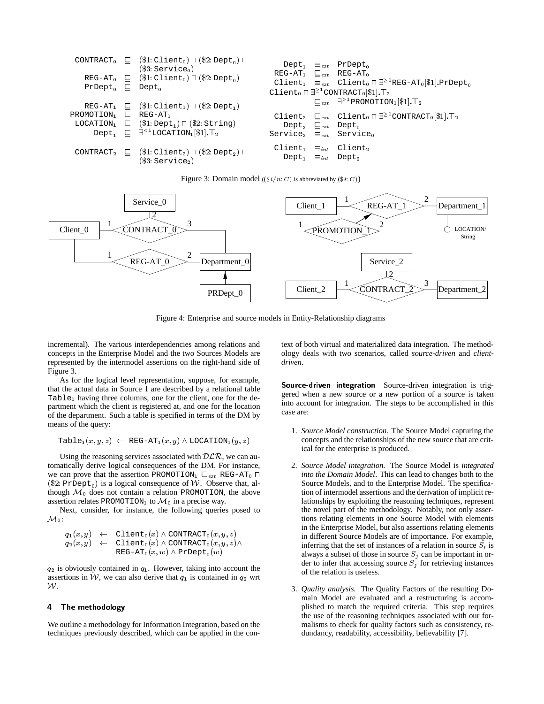|                                      | CONTRACT <sub>0</sub> $\sqsubseteq$ (\$1:Client <sub>0</sub> ) $\sqcap$ (\$2:Dept <sub>0</sub> ) $\sqcap$<br>(\$3:Service <sub>0</sub> ) |                                                                                                  | $Depth_1 \equiv_{ext}$ PrDept <sub>0</sub>                                                                                                                                                                                                                                                                                                                                                                                                                                                 |
|--------------------------------------|------------------------------------------------------------------------------------------------------------------------------------------|--------------------------------------------------------------------------------------------------|--------------------------------------------------------------------------------------------------------------------------------------------------------------------------------------------------------------------------------------------------------------------------------------------------------------------------------------------------------------------------------------------------------------------------------------------------------------------------------------------|
| $PrDepth_0$ $\Box$ Dept <sub>0</sub> | REG-AT <sub>0</sub> $\sqsubseteq$ (\$1: Client <sub>0</sub> ) $\sqcap$ (\$2: Dept <sub>0</sub> )                                         | $REG-AT_1$ $\sqsubseteq_{ext}$ REG-AT <sub>0</sub>                                               | Client <sub>1</sub> $\equiv_{ext}$ Client <sub>0</sub> $\Box$ <sup>21</sup> REG-AT <sub>0</sub> [\$1].PrDept <sub>0</sub>                                                                                                                                                                                                                                                                                                                                                                  |
|                                      |                                                                                                                                          |                                                                                                  | Client <sub>0</sub> $\Box$ <sup>2<sup>1</sup>CONTRACT<sub>0</sub>[\$1].<sup>T</sup><sub>2</sub></sup><br>$\begin{bmatrix} \begin{matrix} \begin{matrix} \end{matrix} \\ \end{matrix} \end{bmatrix} \begin{bmatrix} \begin{matrix} \end{matrix} \\ \end{bmatrix}^2 \begin{bmatrix} \begin{matrix} \end{matrix} \\ \end{bmatrix}$ PROMOTION <sub>1</sub> $\begin{bmatrix} \begin{matrix} \end{matrix} \\ \end{bmatrix}$ . $\begin{bmatrix} \begin{matrix} \end{matrix} \\ \end{bmatrix}$ . T |
|                                      | REG-AT <sub>1</sub> $\Box$ (\$1: Client <sub>1</sub> ) $\Box$ (\$2: Dept <sub>1</sub> )                                                  |                                                                                                  |                                                                                                                                                                                                                                                                                                                                                                                                                                                                                            |
| PROMOTION1                           | $\Box$ REG-AT <sub>1</sub><br>LOCATION <sub>1</sub> $\sqsubseteq$ (\$1:Dept <sub>1</sub> ) $\sqcap$ (\$2:String)                         | Dept <sub>2</sub> $\sqsubseteq_{ext}$ Dept <sub>0</sub>                                          | Client <sub>2</sub> $\sqsubseteq_{ext}$ Client <sub>0</sub> $\sqcap \exists^{\geq 1}$ CONTRACT <sub>0</sub> [\$1]. $\top_2$                                                                                                                                                                                                                                                                                                                                                                |
|                                      | Dept <sub>1</sub> $\sqsubseteq$ $\exists^{\leq 1}$ LOCATION <sub>1</sub> [\$1]. $T_2$                                                    | Service <sub>2</sub> $\equiv_{ext}$ Service <sub>0</sub>                                         |                                                                                                                                                                                                                                                                                                                                                                                                                                                                                            |
| $CONTRACT2$ $\sqsubseteq$            | $(\$1:Client_2) \sqcap (\$2:Depth_2) \sqcap$<br>$(\$3:Service_2)$                                                                        | Client <sub>1</sub> $\equiv_{int}$ Client <sub>2</sub><br>$Depth \equiv_{int}$ Dept <sub>2</sub> |                                                                                                                                                                                                                                                                                                                                                                                                                                                                                            |

Figure 3: Domain model ( $(\frac{\$i}{n}: C)$  is abbreviated by  $(\$i: C)$ )



Figure 4: Enterprise and source models in Entity-Relationship diagrams

incremental). The various interdependencies among relations and concepts in the Enterprise Model and the two Sources Models are represented by the intermodel assertions on the right-hand side of Figure 3.

As for the logical level representation, suppose, for example, that the actual data in Source 1 are described by a relational table Table<sub>1</sub> having three columns, one for the client, one for the department which the client is registered at, and one for the location of the department. Such a table is specified in terms of the DM by means of the query:

$$
\mathtt{Table_1}(x,y,z) \ \leftarrow \ \mathtt{REG-AT_1}(x,y) \land \mathtt{LOCALION_1}(y,z)
$$

Using the reasoning services associated with  $DLR$ , we can automatically derive logical consequences of the DM. For instance, we can prove that the assertion PROMOTION<sub>1</sub>  $\sqsubseteq_{ext}$  REG-AT<sub>0</sub>  $\sqcap$ (\$2: PrDept<sub>0</sub>) is a logical consequence of W. Observe that, although  $\mathcal{M}_0$  does not contain a relation PROMOTION, the above assertion relates PROMOTION<sub>1</sub> to  $\mathcal{M}_0$  in a precise way.

Next, consider, for instance, the following queries posed to  $\mathcal{M}_0$ :

$$
q_1(x,y) \leftarrow \text{Client}_0(x) \land \text{CONTRACT}_0(x,y,z) q_2(x,y) \leftarrow \text{Client}_0(x) \land \text{CONTRACT}_0(x,y,z) \land REG-AT}_0(x,w) \land \text{PrDepth}_0(w)
$$

 $q_2$  is obviously contained in  $q_1$ . However, taking into account the assertions in W, we can also derive that  $q_1$  is contained in  $q_2$  wrt W.

# 4 The methodology

We outline a methodology for Information Integration, based on the techniques previously described, which can be applied in the context of both virtual and materialized data integration. The methodology deals with two scenarios, called *source-driven* and *clientdriven*.

Source-driven integration Source-driven integration is triggered when a new source or a new portion of a source is taken into account for integration. The steps to be accomplished in this case are:

- 1. *Source Model construction.* The Source Model capturing the concepts and the relationships of the new source that are critical for the enterprise is produced.
- 2. *Source Model integration.* The Source Model is *integrated into the Domain Model*. This can lead to changes both to the Source Models, and to the Enterprise Model. The specification of intermodel assertions and the derivation of implicit relationships by exploiting the reasoning techniques, represent the novel part of the methodology. Notably, not only assertions relating elements in one Source Model with elements in the Enterprise Model, but also assertions relating elements in different Source Models are of importance. For example, inferring that the set of instances of a relation in source  $S_i$  is always a subset of those in source  $S_j$  can be important in order to infer that accessing source  $S_i$  for retrieving instances of the relation is useless.
- 3. *Quality analysis.* The Quality Factors of the resulting Domain Model are evaluated and a restructuring is accomplished to match the required criteria. This step requires the use of the reasoning techniques associated with our formalisms to check for quality factors such as consistency, redundancy, readability, accessibility, believability [7].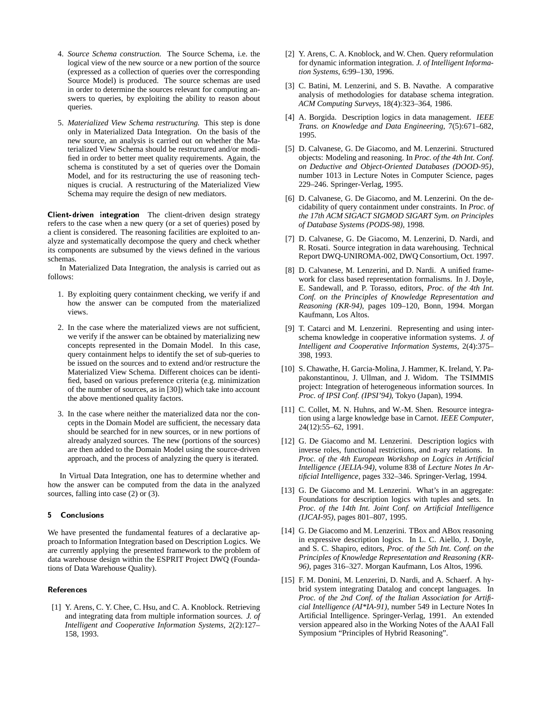- 4. *Source Schema construction.* The Source Schema, i.e. the logical view of the new source or a new portion of the source (expressed as a collection of queries over the corresponding Source Model) is produced. The source schemas are used in order to determine the sources relevant for computing answers to queries, by exploiting the ability to reason about queries.
- 5. *Materialized View Schema restructuring.* This step is done only in Materialized Data Integration. On the basis of the new source, an analysis is carried out on whether the Materialized View Schema should be restructured and/or modified in order to better meet quality requirements. Again, the schema is constituted by a set of queries over the Domain Model, and for its restructuring the use of reasoning techniques is crucial. A restructuring of the Materialized View Schema may require the design of new mediators.

Client-driven integration The client-driven design strategy refers to the case when a new query (or a set of queries) posed by a client is considered. The reasoning facilities are exploited to analyze and systematically decompose the query and check whether its components are subsumed by the views defined in the various schemas.

In Materialized Data Integration, the analysis is carried out as follows:

- 1. By exploiting query containment checking, we verify if and how the answer can be computed from the materialized views.
- 2. In the case where the materialized views are not sufficient, we verify if the answer can be obtained by materializing new concepts represented in the Domain Model. In this case, query containment helps to identify the set of sub-queries to be issued on the sources and to extend and/or restructure the Materialized View Schema. Different choices can be identified, based on various preference criteria (e.g. minimization of the number of sources, as in [30]) which take into account the above mentioned quality factors.
- 3. In the case where neither the materialized data nor the concepts in the Domain Model are sufficient, the necessary data should be searched for in new sources, or in new portions of already analyzed sources. The new (portions of the sources) are then added to the Domain Model using the source-driven approach, and the process of analyzing the query is iterated.

In Virtual Data Integration, one has to determine whether and how the answer can be computed from the data in the analyzed sources, falling into case (2) or (3).

# 5 Conclusions

We have presented the fundamental features of a declarative approach to Information Integration based on Description Logics. We are currently applying the presented framework to the problem of data warehouse design within the ESPRIT Project DWQ (Foundations of Data Warehouse Quality).

# **References**

[1] Y. Arens, C. Y. Chee, C. Hsu, and C. A. Knoblock. Retrieving and integrating data from multiple information sources. *J. of Intelligent and Cooperative Information Systems*, 2(2):127– 158, 1993.

- [2] Y. Arens, C. A. Knoblock, and W. Chen. Query reformulation for dynamic information integration. *J. of Intelligent Information Systems*, 6:99–130, 1996.
- [3] C. Batini, M. Lenzerini, and S. B. Navathe. A comparative analysis of methodologies for database schema integration. *ACM Computing Surveys*, 18(4):323–364, 1986.
- [4] A. Borgida. Description logics in data management. *IEEE Trans. on Knowledge and Data Engineering*, 7(5):671–682, 1995.
- [5] D. Calvanese, G. De Giacomo, and M. Lenzerini. Structured objects: Modeling and reasoning. In *Proc. of the 4th Int. Conf. on Deductive and Object-Oriented Databases (DOOD-95)*, number 1013 in Lecture Notes in Computer Science, pages 229–246. Springer-Verlag, 1995.
- [6] D. Calvanese, G. De Giacomo, and M. Lenzerini. On the decidability of query containment under constraints. In *Proc. of the 17th ACM SIGACT SIGMOD SIGART Sym. on Principles of Database Systems (PODS-98)*, 1998.
- [7] D. Calvanese, G. De Giacomo, M. Lenzerini, D. Nardi, and R. Rosati. Source integration in data warehousing. Technical Report DWQ-UNIROMA-002, DWQ Consortium, Oct. 1997.
- [8] D. Calvanese, M. Lenzerini, and D. Nardi. A unified framework for class based representation formalisms. In J. Doyle, E. Sandewall, and P. Torasso, editors, *Proc. of the 4th Int. Conf. on the Principles of Knowledge Representation and Reasoning (KR-94)*, pages 109–120, Bonn, 1994. Morgan Kaufmann, Los Altos.
- [9] T. Catarci and M. Lenzerini. Representing and using interschema knowledge in cooperative information systems. *J. of Intelligent and Cooperative Information Systems*, 2(4):375– 398, 1993.
- [10] S. Chawathe, H. Garcia-Molina, J. Hammer, K. Ireland, Y. Papakonstantinou, J. Ullman, and J. Widom. The TSIMMIS project: Integration of heterogeneous information sources. In *Proc. of IPSI Conf. (IPSI'94)*, Tokyo (Japan), 1994.
- [11] C. Collet, M. N. Huhns, and W.-M. Shen. Resource integration using a large knowledge base in Carnot. *IEEE Computer*, 24(12):55–62, 1991.
- [12] G. De Giacomo and M. Lenzerini. Description logics with inverse roles, functional restrictions, and n-ary relations. In *Proc. of the 4th European Workshop on Logics in Artificial Intelligence (JELIA-94)*, volume 838 of *Lecture Notes In Artificial Intelligence*, pages 332–346. Springer-Verlag, 1994.
- [13] G. De Giacomo and M. Lenzerini. What's in an aggregate: Foundations for description logics with tuples and sets. In *Proc. of the 14th Int. Joint Conf. on Artificial Intelligence (IJCAI-95)*, pages 801–807, 1995.
- [14] G. De Giacomo and M. Lenzerini. TBox and ABox reasoning in expressive description logics. In L. C. Aiello, J. Doyle, and S. C. Shapiro, editors, *Proc. of the 5th Int. Conf. on the Principles of Knowledge Representation and Reasoning (KR-96)*, pages 316–327. Morgan Kaufmann, Los Altos, 1996.
- [15] F. M. Donini, M. Lenzerini, D. Nardi, and A. Schaerf. A hybrid system integrating Datalog and concept languages. In *Proc. of the 2nd Conf. of the Italian Association for Artificial Intelligence (AI\*IA-91)*, number 549 in Lecture Notes In Artificial Intelligence. Springer-Verlag, 1991. An extended version appeared also in the Working Notes of the AAAI Fall Symposium "Principles of Hybrid Reasoning".